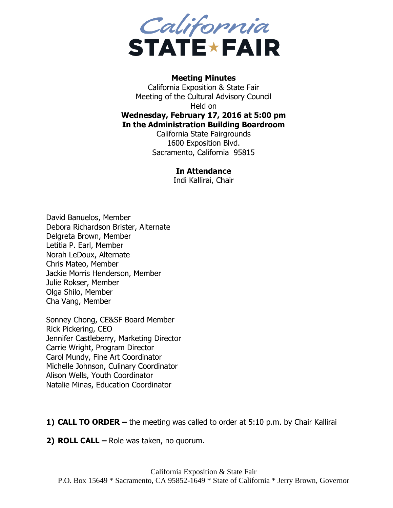

## **Meeting Minutes**

California Exposition & State Fair Meeting of the Cultural Advisory Council Held on **Wednesday, February 17, 2016 at 5:00 pm In the Administration Building Boardroom**

California State Fairgrounds 1600 Exposition Blvd. Sacramento, California 95815

## **In Attendance**

Indi Kallirai, Chair

David Banuelos, Member Debora Richardson Brister, Alternate Delgreta Brown, Member Letitia P. Earl, Member Norah LeDoux, Alternate Chris Mateo, Member Jackie Morris Henderson, Member Julie Rokser, Member Olga Shilo, Member Cha Vang, Member

Sonney Chong, CE&SF Board Member Rick Pickering, CEO Jennifer Castleberry, Marketing Director Carrie Wright, Program Director Carol Mundy, Fine Art Coordinator Michelle Johnson, Culinary Coordinator Alison Wells, Youth Coordinator Natalie Minas, Education Coordinator

**1) CALL TO ORDER –** the meeting was called to order at 5:10 p.m. by Chair Kallirai

**2) ROLL CALL –** Role was taken, no quorum.